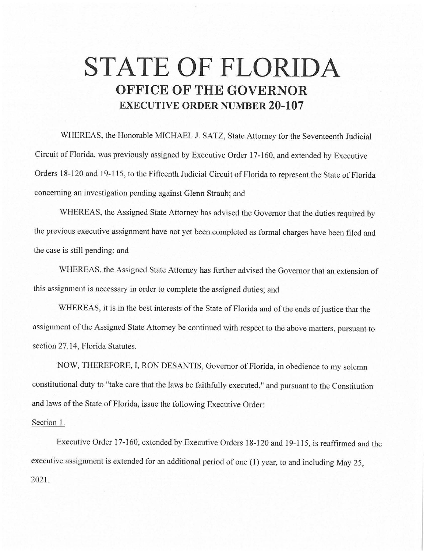## **STATE OF FLORIDA OFFICE OF THE GOVERNOR EXECUTIVE ORDER NUMBER 20-107**

WHEREAS, the Honorable MICHAEL J. SATZ, State Attorney for the Seventeenth Judicial Circuit of Florida, was previously assigned by Executive Order 17-160, and extended by Executive Orders 18-120 and 19-115, to the Fifteenth Judicial Circuit of Florida to represent the State of Florida concerning an investigation pending against Glenn Straub; and

WHEREAS, the Assigned State Attorney has advised the Governor that the duties required by the previous executive assignment have not yet been completed as formal charges have been filed and the case is still pending; and

WHEREAS. the Assigned State Attorney has further advised the Governor that an extension of this assignment is necessary in order to complete the assigned duties; and

WHEREAS, it is in the best interests of the State of Florida and of the ends of justice that the assignment of the Assigned State Attorney be continued with respect to the above matters, pursuant to section 27.14, Florida Statutes.

NOW, THEREFORE, I, RON DESANTIS, Governor of Florida, in obedience to my solemn constitutional duty to "take care that the laws be faithfully executed," and pursuant to the Constitution and laws of the State of Florida, issue the following Executive Order:

## Section I.

Executive Order 17-160, extended by Executive Orders 18-120 and 19-115, is reaffirmed and the executive assignment is extended for an additional period of one (1) year, to and including May 25, 2021.